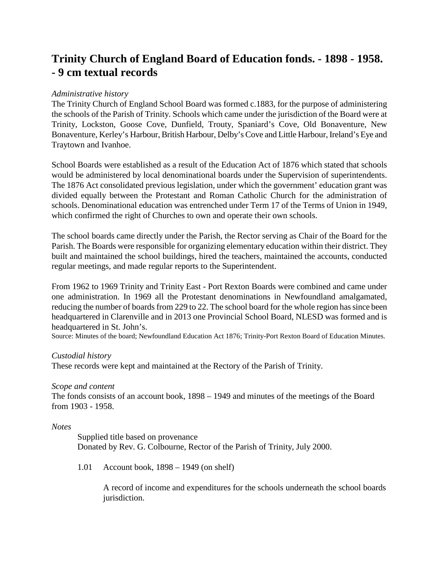# **Trinity Church of England Board of Education fonds. - 1898 - 1958. - 9 cm textual records**

## *Administrative history*

The Trinity Church of England School Board was formed c.1883, for the purpose of administering the schools of the Parish of Trinity. Schools which came under the jurisdiction of the Board were at Trinity, Lockston, Goose Cove, Dunfield, Trouty, Spaniard's Cove, Old Bonaventure, New Bonaventure, Kerley's Harbour, British Harbour, Delby's Cove and Little Harbour, Ireland's Eye and Traytown and Ivanhoe.

School Boards were established as a result of the Education Act of 1876 which stated that schools would be administered by local denominational boards under the Supervision of superintendents. The 1876 Act consolidated previous legislation, under which the government' education grant was divided equally between the Protestant and Roman Catholic Church for the administration of schools. Denominational education was entrenched under Term 17 of the Terms of Union in 1949, which confirmed the right of Churches to own and operate their own schools.

The school boards came directly under the Parish, the Rector serving as Chair of the Board for the Parish. The Boards were responsible for organizing elementary education within their district. They built and maintained the school buildings, hired the teachers, maintained the accounts, conducted regular meetings, and made regular reports to the Superintendent.

From 1962 to 1969 Trinity and Trinity East - Port Rexton Boards were combined and came under one administration. In 1969 all the Protestant denominations in Newfoundland amalgamated, reducing the number of boards from 229 to 22. The school board for the whole region has since been headquartered in Clarenville and in 2013 one Provincial School Board, NLESD was formed and is headquartered in St. John's.

Source: Minutes of the board; Newfoundland Education Act 1876; Trinity-Port Rexton Board of Education Minutes.

## *Custodial history*

These records were kept and maintained at the Rectory of the Parish of Trinity.

### *Scope and content*

The fonds consists of an account book, 1898 – 1949 and minutes of the meetings of the Board from 1903 - 1958.

### *Notes*

Supplied title based on provenance Donated by Rev. G. Colbourne, Rector of the Parish of Trinity, July 2000.

1.01 Account book, 1898 – 1949 (on shelf)

A record of income and expenditures for the schools underneath the school boards jurisdiction.